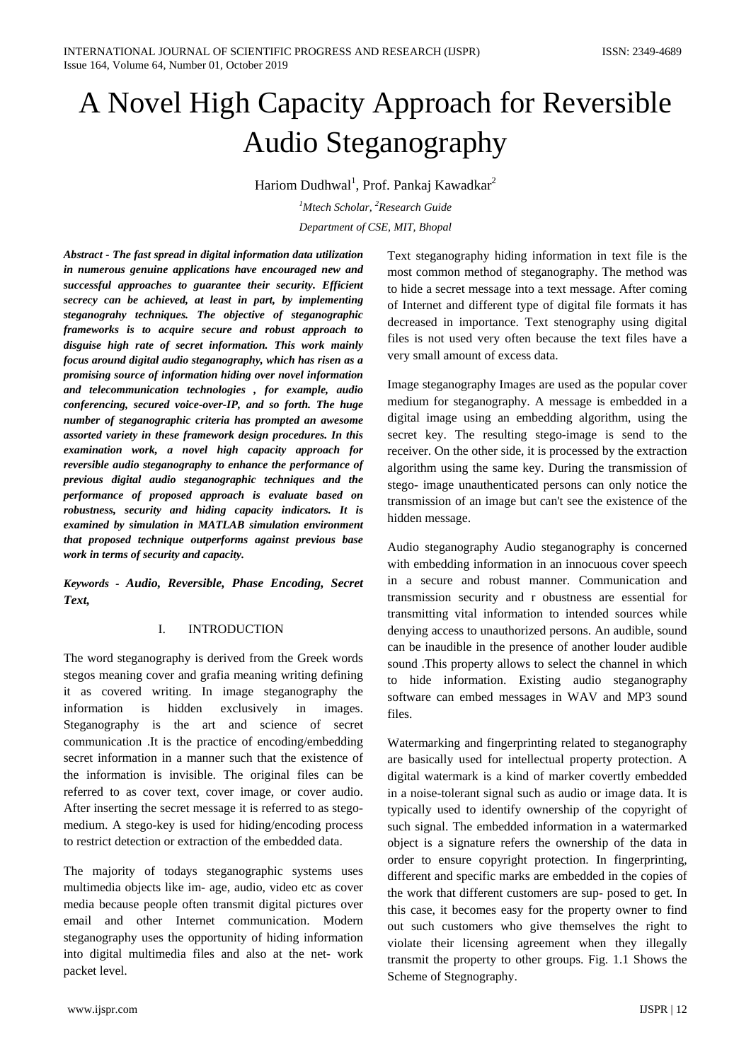# A Novel High Capacity Approach for Reversible Audio Steganography

Hariom Dudhwal<sup>1</sup>, Prof. Pankaj Kawadkar<sup>2</sup>

*1 Mtech Scholar, 2 Research Guide Department of CSE, MIT, Bhopal*

*Abstract - The fast spread in digital information data utilization in numerous genuine applications have encouraged new and successful approaches to guarantee their security. Efficient secrecy can be achieved, at least in part, by implementing steganograhy techniques. The objective of steganographic frameworks is to acquire secure and robust approach to disguise high rate of secret information. This work mainly focus around digital audio steganography, which has risen as a promising source of information hiding over novel information and telecommunication technologies , for example, audio conferencing, secured voice-over-IP, and so forth. The huge number of steganographic criteria has prompted an awesome assorted variety in these framework design procedures. In this examination work, a novel high capacity approach for reversible audio steganography to enhance the performance of previous digital audio steganographic techniques and the performance of proposed approach is evaluate based on robustness, security and hiding capacity indicators. It is examined by simulation in MATLAB simulation environment that proposed technique outperforms against previous base work in terms of security and capacity.*

*Keywords - Audio, Reversible, Phase Encoding, Secret Text,* 

# I. INTRODUCTION

The word steganography is derived from the Greek words stegos meaning cover and grafia meaning writing defining it as covered writing. In image steganography the information is hidden exclusively in images. Steganography is the art and science of secret communication .It is the practice of encoding/embedding secret information in a manner such that the existence of the information is invisible. The original files can be referred to as cover text, cover image, or cover audio. After inserting the secret message it is referred to as stegomedium. A stego-key is used for hiding/encoding process to restrict detection or extraction of the embedded data.

The majority of todays steganographic systems uses multimedia objects like im- age, audio, video etc as cover media because people often transmit digital pictures over email and other Internet communication. Modern steganography uses the opportunity of hiding information into digital multimedia files and also at the net- work packet level.

Text steganography hiding information in text file is the most common method of steganography. The method was to hide a secret message into a text message. After coming of Internet and different type of digital file formats it has decreased in importance. Text stenography using digital files is not used very often because the text files have a very small amount of excess data.

Image steganography Images are used as the popular cover medium for steganography. A message is embedded in a digital image using an embedding algorithm, using the secret key. The resulting stego-image is send to the receiver. On the other side, it is processed by the extraction algorithm using the same key. During the transmission of stego- image unauthenticated persons can only notice the transmission of an image but can't see the existence of the hidden message.

Audio steganography Audio steganography is concerned with embedding information in an innocuous cover speech in a secure and robust manner. Communication and transmission security and r obustness are essential for transmitting vital information to intended sources while denying access to unauthorized persons. An audible, sound can be inaudible in the presence of another louder audible sound .This property allows to select the channel in which to hide information. Existing audio steganography software can embed messages in WAV and MP3 sound files.

Watermarking and fingerprinting related to steganography are basically used for intellectual property protection. A digital watermark is a kind of marker covertly embedded in a noise-tolerant signal such as audio or image data. It is typically used to identify ownership of the copyright of such signal. The embedded information in a watermarked object is a signature refers the ownership of the data in order to ensure copyright protection. In fingerprinting, different and specific marks are embedded in the copies of the work that different customers are sup- posed to get. In this case, it becomes easy for the property owner to find out such customers who give themselves the right to violate their licensing agreement when they illegally transmit the property to other groups. Fig. 1.1 Shows the Scheme of Stegnography.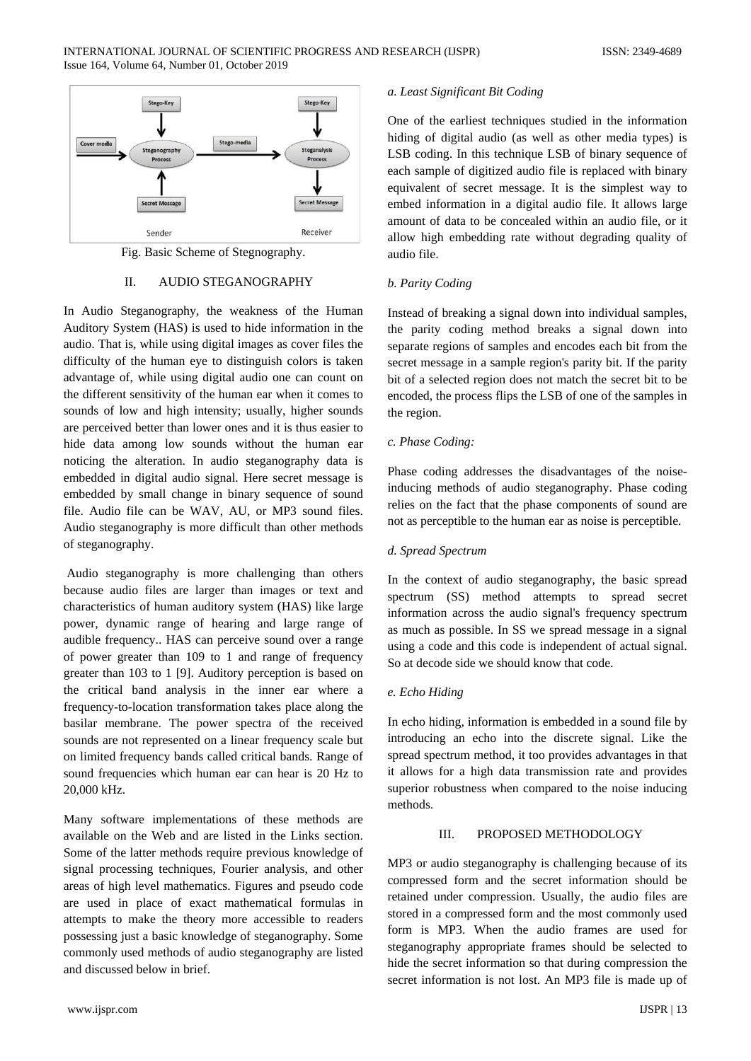

Fig. Basic Scheme of Stegnography.

# II. AUDIO STEGANOGRAPHY

In Audio Steganography, the weakness of the Human Auditory System (HAS) is used to hide information in the audio. That is, while using digital images as cover files the difficulty of the human eye to distinguish colors is taken advantage of, while using digital audio one can count on the different sensitivity of the human ear when it comes to sounds of low and high intensity; usually, higher sounds are perceived better than lower ones and it is thus easier to hide data among low sounds without the human ear noticing the alteration. In audio steganography data is embedded in digital audio signal. Here secret message is embedded by small change in binary sequence of sound file. Audio file can be WAV, AU, or MP3 sound files. Audio steganography is more difficult than other methods of steganography.

Audio steganography is more challenging than others because audio files are larger than images or text and characteristics of human auditory system (HAS) like large power, dynamic range of hearing and large range of audible frequency.. HAS can perceive sound over a range of power greater than 109 to 1 and range of frequency greater than 103 to 1 [9]. Auditory perception is based on the critical band analysis in the inner ear where a frequency-to-location transformation takes place along the basilar membrane. The power spectra of the received sounds are not represented on a linear frequency scale but on limited frequency bands called critical bands. Range of sound frequencies which human ear can hear is 20 Hz to 20,000 kHz.

Many software implementations of these methods are available on the Web and are listed in the Links section. Some of the latter methods require previous knowledge of signal processing techniques, Fourier analysis, and other areas of high level mathematics. Figures and pseudo code are used in place of exact mathematical formulas in attempts to make the theory more accessible to readers possessing just a basic knowledge of steganography. Some commonly used methods of audio steganography are listed and discussed below in brief.

#### *a. Least Significant Bit Coding*

One of the earliest techniques studied in the information hiding of digital audio (as well as other media types) is LSB coding. In this technique LSB of binary sequence of each sample of digitized audio file is replaced with binary equivalent of secret message. It is the simplest way to embed information in a digital audio file. It allows large amount of data to be concealed within an audio file, or it allow high embedding rate without degrading quality of audio file.

# *b. Parity Coding*

Instead of breaking a signal down into individual samples, the parity coding method breaks a signal down into separate regions of samples and encodes each bit from the secret message in a sample region's parity bit. If the parity bit of a selected region does not match the secret bit to be encoded, the process flips the LSB of one of the samples in the region.

# *c. Phase Coding:*

Phase coding addresses the disadvantages of the noiseinducing methods of audio steganography. Phase coding relies on the fact that the phase components of sound are not as perceptible to the human ear as noise is perceptible.

#### *d. Spread Spectrum*

In the context of audio steganography, the basic spread spectrum (SS) method attempts to spread secret information across the audio signal's frequency spectrum as much as possible. In SS we spread message in a signal using a code and this code is independent of actual signal. So at decode side we should know that code.

#### *e. Echo Hiding*

In echo hiding, information is embedded in a sound file by introducing an echo into the discrete signal. Like the spread spectrum method, it too provides advantages in that it allows for a high data transmission rate and provides superior robustness when compared to the noise inducing methods.

# III. PROPOSED METHODOLOGY

MP3 or audio steganography is challenging because of its compressed form and the secret information should be retained under compression. Usually, the audio files are stored in a compressed form and the most commonly used form is MP3. When the audio frames are used for steganography appropriate frames should be selected to hide the secret information so that during compression the secret information is not lost. An MP3 file is made up of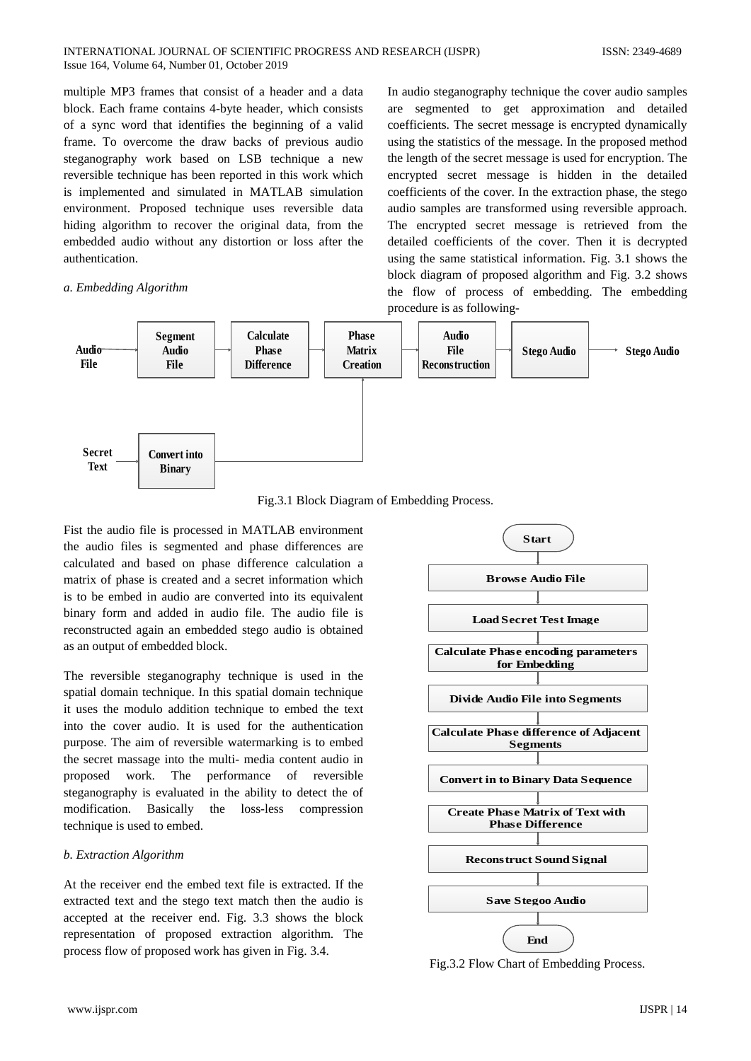multiple MP3 frames that consist of a header and a data block. Each frame contains 4-byte header, which consists of a sync word that identifies the beginning of a valid frame. To overcome the draw backs of previous audio steganography work based on LSB technique a new reversible technique has been reported in this work which is implemented and simulated in MATLAB simulation environment. Proposed technique uses reversible data hiding algorithm to recover the original data, from the embedded audio without any distortion or loss after the authentication.

# *a. Embedding Algorithm*

In audio steganography technique the cover audio samples are segmented to get approximation and detailed coefficients. The secret message is encrypted dynamically using the statistics of the message. In the proposed method the length of the secret message is used for encryption. The encrypted secret message is hidden in the detailed coefficients of the cover. In the extraction phase, the stego audio samples are transformed using reversible approach. The encrypted secret message is retrieved from the detailed coefficients of the cover. Then it is decrypted using the same statistical information. Fig. 3.1 shows the block diagram of proposed algorithm and Fig. 3.2 shows the flow of process of embedding. The embedding procedure is as following-



Fig.3.1 Block Diagram of Embedding Process.

Fist the audio file is processed in MATLAB environment the audio files is segmented and phase differences are calculated and based on phase difference calculation a matrix of phase is created and a secret information which is to be embed in audio are converted into its equivalent binary form and added in audio file. The audio file is reconstructed again an embedded stego audio is obtained as an output of embedded block.

The reversible steganography technique is used in the spatial domain technique. In this spatial domain technique it uses the modulo addition technique to embed the text into the cover audio. It is used for the authentication purpose. The aim of reversible watermarking is to embed the secret massage into the multi- media content audio in proposed work. The performance of reversible steganography is evaluated in the ability to detect the of modification. Basically the loss-less compression technique is used to embed.

# *b. Extraction Algorithm*

At the receiver end the embed text file is extracted. If the extracted text and the stego text match then the audio is accepted at the receiver end. Fig. 3.3 shows the block representation of proposed extraction algorithm. The process flow of proposed work has given in Fig. 3.4.



Fig.3.2 Flow Chart of Embedding Process.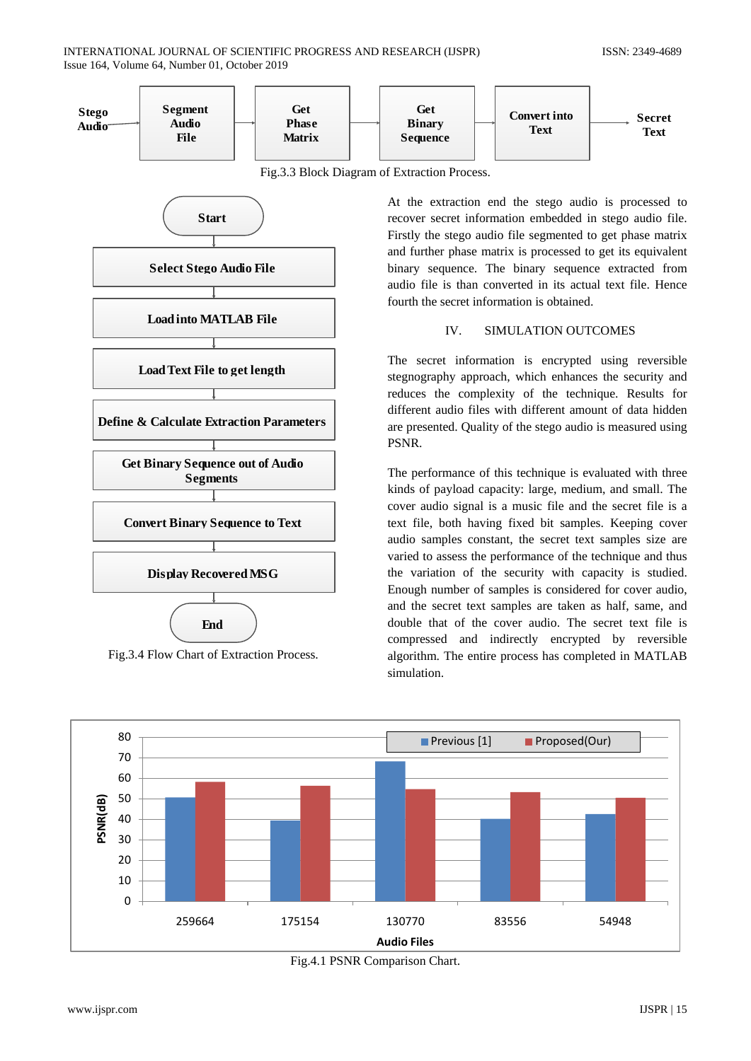

Fig.3.3 Block Diagram of Extraction Process.



Fig.3.4 Flow Chart of Extraction Process.

At the extraction end the stego audio is processed to recover secret information embedded in stego audio file. Firstly the stego audio file segmented to get phase matrix and further phase matrix is processed to get its equivalent binary sequence. The binary sequence extracted from audio file is than converted in its actual text file. Hence fourth the secret information is obtained.

# IV. SIMULATION OUTCOMES

The secret information is encrypted using reversible stegnography approach, which enhances the security and reduces the complexity of the technique. Results for different audio files with different amount of data hidden are presented. Quality of the stego audio is measured using PSNR.

The performance of this technique is evaluated with three kinds of payload capacity: large, medium, and small. The cover audio signal is a music file and the secret file is a text file, both having fixed bit samples. Keeping cover audio samples constant, the secret text samples size are varied to assess the performance of the technique and thus the variation of the security with capacity is studied. Enough number of samples is considered for cover audio, and the secret text samples are taken as half, same, and double that of the cover audio. The secret text file is compressed and indirectly encrypted by reversible algorithm. The entire process has completed in MATLAB simulation.



Fig.4.1 PSNR Comparison Chart.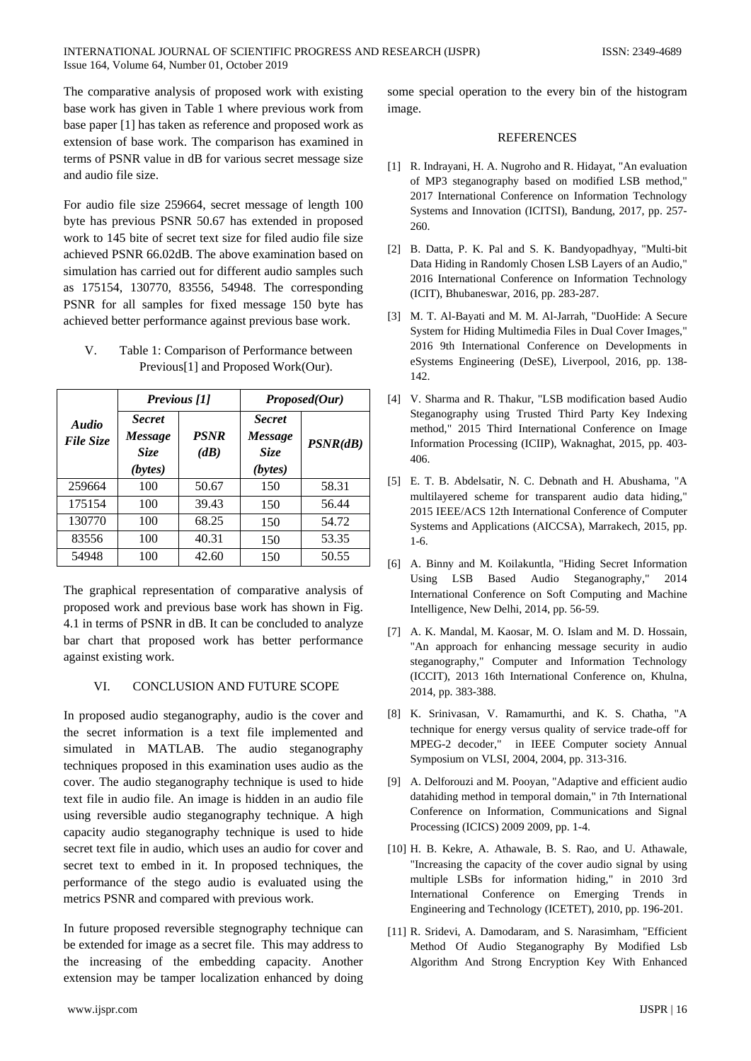The comparative analysis of proposed work with existing base work has given in Table 1 where previous work from base paper [1] has taken as reference and proposed work as extension of base work. The comparison has examined in terms of PSNR value in dB for various secret message size and audio file size.

For audio file size 259664, secret message of length 100 byte has previous PSNR 50.67 has extended in proposed work to 145 bite of secret text size for filed audio file size achieved PSNR 66.02dB. The above examination based on simulation has carried out for different audio samples such as 175154, 130770, 83556, 54948. The corresponding PSNR for all samples for fixed message 150 byte has achieved better performance against previous base work.

V. Table 1: Comparison of Performance between Previous[1] and Proposed Work(Our).

| <b>Audio</b><br><b>File Size</b> | <b>Previous</b> [1]                                       |                     | Proposed(Our)                               |          |
|----------------------------------|-----------------------------------------------------------|---------------------|---------------------------------------------|----------|
|                                  | <b>Secret</b><br><b>Message</b><br><b>Size</b><br>(bytes) | <b>PSNR</b><br>(dB) | <b>Secret</b><br>Message<br>Size<br>(bytes) | PSNR(dB) |
| 259664                           | 100                                                       | 50.67               | 150                                         | 58.31    |
| 175154                           | 100                                                       | 39.43               | 150                                         | 56.44    |
| 130770                           | 100                                                       | 68.25               | 150                                         | 54.72    |
| 83556                            | 100                                                       | 40.31               | 150                                         | 53.35    |
| 54948                            | 100                                                       | 42.60               | 150                                         | 50.55    |

The graphical representation of comparative analysis of proposed work and previous base work has shown in Fig. 4.1 in terms of PSNR in dB. It can be concluded to analyze bar chart that proposed work has better performance against existing work.

# VI. CONCLUSION AND FUTURE SCOPE

In proposed audio steganography, audio is the cover and the secret information is a text file implemented and simulated in MATLAB. The audio steganography techniques proposed in this examination uses audio as the cover. The audio steganography technique is used to hide text file in audio file. An image is hidden in an audio file using reversible audio steganography technique. A high capacity audio steganography technique is used to hide secret text file in audio, which uses an audio for cover and secret text to embed in it. In proposed techniques, the performance of the stego audio is evaluated using the metrics PSNR and compared with previous work.

In future proposed reversible stegnography technique can be extended for image as a secret file. This may address to the increasing of the embedding capacity. Another extension may be tamper localization enhanced by doing

some special operation to the every bin of the histogram image.

#### **REFERENCES**

- [1] R. Indrayani, H. A. Nugroho and R. Hidayat, "An evaluation of MP3 steganography based on modified LSB method," 2017 International Conference on Information Technology Systems and Innovation (ICITSI), Bandung, 2017, pp. 257- 260.
- [2] B. Datta, P. K. Pal and S. K. Bandyopadhyay, "Multi-bit Data Hiding in Randomly Chosen LSB Layers of an Audio," 2016 International Conference on Information Technology (ICIT), Bhubaneswar, 2016, pp. 283-287.
- [3] M. T. Al-Bayati and M. M. Al-Jarrah, "DuoHide: A Secure System for Hiding Multimedia Files in Dual Cover Images," 2016 9th International Conference on Developments in eSystems Engineering (DeSE), Liverpool, 2016, pp. 138- 142.
- [4] V. Sharma and R. Thakur, "LSB modification based Audio Steganography using Trusted Third Party Key Indexing method," 2015 Third International Conference on Image Information Processing (ICIIP), Waknaghat, 2015, pp. 403- 406.
- [5] E. T. B. Abdelsatir, N. C. Debnath and H. Abushama, "A multilayered scheme for transparent audio data hiding," 2015 IEEE/ACS 12th International Conference of Computer Systems and Applications (AICCSA), Marrakech, 2015, pp. 1-6.
- [6] A. Binny and M. Koilakuntla, "Hiding Secret Information Using LSB Based Audio Steganography," 2014 International Conference on Soft Computing and Machine Intelligence, New Delhi, 2014, pp. 56-59.
- [7] A. K. Mandal, M. Kaosar, M. O. Islam and M. D. Hossain, "An approach for enhancing message security in audio steganography," Computer and Information Technology (ICCIT), 2013 16th International Conference on, Khulna, 2014, pp. 383-388.
- [8] K. Srinivasan, V. Ramamurthi, and K. S. Chatha, "A technique for energy versus quality of service trade-off for MPEG-2 decoder," in IEEE Computer society Annual Symposium on VLSI, 2004, 2004, pp. 313-316.
- [9] A. Delforouzi and M. Pooyan, "Adaptive and efficient audio datahiding method in temporal domain," in 7th International Conference on Information, Communications and Signal Processing (ICICS) 2009 2009, pp. 1-4.
- [10] H. B. Kekre, A. Athawale, B. S. Rao, and U. Athawale, "Increasing the capacity of the cover audio signal by using multiple LSBs for information hiding," in 2010 3rd International Conference on Emerging Trends in Engineering and Technology (ICETET), 2010, pp. 196-201.
- [11] R. Sridevi, A. Damodaram, and S. Narasimham, "Efficient Method Of Audio Steganography By Modified Lsb Algorithm And Strong Encryption Key With Enhanced